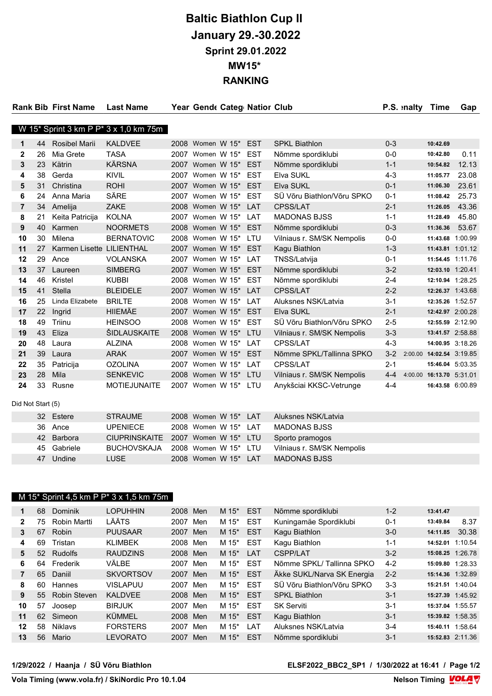# Baltic Biathlon Cup II January 29.-30.2022 Sprint 29.01.2022 MW15\* RANKING

|    |                      | <b>Last Name</b>                                                          |                                                                                                      |                                       |                              |                  |                                                                                                                                                                                                                                                                                                                                                                                                                                                                                                                                         |                                                                                                                          | Time               | Gap                                                                 |
|----|----------------------|---------------------------------------------------------------------------|------------------------------------------------------------------------------------------------------|---------------------------------------|------------------------------|------------------|-----------------------------------------------------------------------------------------------------------------------------------------------------------------------------------------------------------------------------------------------------------------------------------------------------------------------------------------------------------------------------------------------------------------------------------------------------------------------------------------------------------------------------------------|--------------------------------------------------------------------------------------------------------------------------|--------------------|---------------------------------------------------------------------|
|    |                      |                                                                           |                                                                                                      |                                       |                              |                  |                                                                                                                                                                                                                                                                                                                                                                                                                                                                                                                                         |                                                                                                                          |                    |                                                                     |
|    |                      |                                                                           |                                                                                                      |                                       |                              |                  |                                                                                                                                                                                                                                                                                                                                                                                                                                                                                                                                         |                                                                                                                          |                    |                                                                     |
| 44 | <b>Rosibel Marii</b> | <b>KALDVEE</b>                                                            |                                                                                                      |                                       |                              | <b>EST</b>       | <b>SPKL Biathlon</b>                                                                                                                                                                                                                                                                                                                                                                                                                                                                                                                    | $0 - 3$                                                                                                                  | 10:42.69           |                                                                     |
| 26 | Mia Grete            | <b>TASA</b>                                                               |                                                                                                      |                                       |                              | <b>EST</b>       | Nõmme spordiklubi                                                                                                                                                                                                                                                                                                                                                                                                                                                                                                                       | $0-0$                                                                                                                    | 10:42.80           | 0.11                                                                |
| 23 | Kätrin               | <b>KÄRSNA</b>                                                             |                                                                                                      |                                       |                              | <b>EST</b>       | Nõmme spordiklubi                                                                                                                                                                                                                                                                                                                                                                                                                                                                                                                       | $1 - 1$                                                                                                                  | 10:54.82           | 12.13                                                               |
| 38 | Gerda                | <b>KIVIL</b>                                                              | 2007                                                                                                 |                                       |                              |                  | Elva SUKL                                                                                                                                                                                                                                                                                                                                                                                                                                                                                                                               | $4 - 3$                                                                                                                  | 11:05.77           | 23.08                                                               |
| 31 | Christina            | <b>ROHI</b>                                                               |                                                                                                      |                                       |                              |                  | <b>Elva SUKL</b>                                                                                                                                                                                                                                                                                                                                                                                                                                                                                                                        | $0 - 1$                                                                                                                  | 11:06.30           | 23.61                                                               |
| 24 | Anna Maria           | SÄRE                                                                      | 2007                                                                                                 |                                       |                              |                  | SÜ Võru Biathlon/Võru SPKO                                                                                                                                                                                                                                                                                                                                                                                                                                                                                                              | $0 - 1$                                                                                                                  | 11:08.42           | 25.73                                                               |
| 34 | Amelija              | ZAKE                                                                      |                                                                                                      |                                       |                              |                  | <b>CPSS/LAT</b>                                                                                                                                                                                                                                                                                                                                                                                                                                                                                                                         | $2 - 1$                                                                                                                  | 11:26.05           | 43.36                                                               |
| 21 | Keita Patricija      | <b>KOLNA</b>                                                              |                                                                                                      |                                       |                              |                  | <b>MADONAS BJSS</b>                                                                                                                                                                                                                                                                                                                                                                                                                                                                                                                     | $1 - 1$                                                                                                                  | 11:28.49           | 45.80                                                               |
| 40 | Karmen               | <b>NOORMETS</b>                                                           |                                                                                                      |                                       |                              |                  | Nõmme spordiklubi                                                                                                                                                                                                                                                                                                                                                                                                                                                                                                                       | $0 - 3$                                                                                                                  | 11:36.36           | 53.67                                                               |
| 30 | Milena               | <b>BERNATOVIC</b>                                                         |                                                                                                      |                                       |                              |                  | Vilniaus r. SM/SK Nempolis                                                                                                                                                                                                                                                                                                                                                                                                                                                                                                              | $0-0$                                                                                                                    |                    | 11:43.68 1:00.99                                                    |
| 27 |                      |                                                                           | 2007                                                                                                 |                                       |                              |                  | Kagu Biathlon                                                                                                                                                                                                                                                                                                                                                                                                                                                                                                                           | $1 - 3$                                                                                                                  |                    | 11:43.81 1:01.12                                                    |
| 29 | Ance                 | <b>VOLANSKA</b>                                                           | 2007                                                                                                 |                                       |                              |                  | TNSS/Latvija                                                                                                                                                                                                                                                                                                                                                                                                                                                                                                                            | $0 - 1$                                                                                                                  |                    | 11:54.45 1:11.76                                                    |
| 37 | Laureen              | <b>SIMBERG</b>                                                            |                                                                                                      |                                       |                              |                  | Nõmme spordiklubi                                                                                                                                                                                                                                                                                                                                                                                                                                                                                                                       | $3 - 2$                                                                                                                  |                    | 12:03.10 1:20.41                                                    |
| 46 | Kristel              | <b>KUBBI</b>                                                              |                                                                                                      |                                       |                              |                  | Nõmme spordiklubi                                                                                                                                                                                                                                                                                                                                                                                                                                                                                                                       | $2 - 4$                                                                                                                  |                    | 12:10.94 1:28.25                                                    |
| 41 | Stella               | <b>BLEIDELE</b>                                                           |                                                                                                      |                                       |                              |                  | CPSS/LAT                                                                                                                                                                                                                                                                                                                                                                                                                                                                                                                                | $2 - 2$                                                                                                                  |                    | 12:26.37 1:43.68                                                    |
| 25 | Linda Elizabete      | <b>BRILTE</b>                                                             | 2008                                                                                                 |                                       |                              |                  | Aluksnes NSK/Latvia                                                                                                                                                                                                                                                                                                                                                                                                                                                                                                                     | $3 - 1$                                                                                                                  |                    | 12:35.26 1:52.57                                                    |
| 22 | Ingrid               | <b>HIIEMÄE</b>                                                            |                                                                                                      |                                       |                              |                  | <b>Elva SUKL</b>                                                                                                                                                                                                                                                                                                                                                                                                                                                                                                                        | $2 - 1$                                                                                                                  |                    | 12:42.97 2:00.28                                                    |
| 49 | Triinu               | <b>HEINSOO</b>                                                            |                                                                                                      |                                       |                              |                  | SÜ Võru Biathlon/Võru SPKO                                                                                                                                                                                                                                                                                                                                                                                                                                                                                                              | $2 - 5$                                                                                                                  |                    | 12:55.59 2:12.90                                                    |
| 43 | Eliza                |                                                                           |                                                                                                      |                                       |                              |                  | Vilniaus r. SM/SK Nempolis                                                                                                                                                                                                                                                                                                                                                                                                                                                                                                              | $3 - 3$                                                                                                                  |                    | 13:41.57 2:58.88                                                    |
| 48 | Laura                | <b>ALZINA</b>                                                             |                                                                                                      |                                       |                              |                  | CPSS/LAT                                                                                                                                                                                                                                                                                                                                                                                                                                                                                                                                | $4 - 3$                                                                                                                  |                    | 14:00.95 3:18.26                                                    |
| 39 | Laura                | <b>ARAK</b>                                                               |                                                                                                      |                                       |                              |                  | Nõmme SPKL/Tallinna SPKO                                                                                                                                                                                                                                                                                                                                                                                                                                                                                                                | $3 - 2$                                                                                                                  |                    |                                                                     |
| 35 |                      |                                                                           |                                                                                                      |                                       |                              |                  |                                                                                                                                                                                                                                                                                                                                                                                                                                                                                                                                         |                                                                                                                          |                    | 15:46.04 5:03.35                                                    |
| 28 | Mila                 | <b>SENKEVIC</b>                                                           |                                                                                                      |                                       |                              |                  |                                                                                                                                                                                                                                                                                                                                                                                                                                                                                                                                         |                                                                                                                          |                    |                                                                     |
| 33 | Rusne                |                                                                           |                                                                                                      |                                       |                              |                  |                                                                                                                                                                                                                                                                                                                                                                                                                                                                                                                                         | $4 - 4$                                                                                                                  |                    | 16:43.58 6:00.89                                                    |
|    |                      |                                                                           |                                                                                                      |                                       |                              |                  |                                                                                                                                                                                                                                                                                                                                                                                                                                                                                                                                         |                                                                                                                          |                    |                                                                     |
|    |                      |                                                                           |                                                                                                      |                                       |                              |                  |                                                                                                                                                                                                                                                                                                                                                                                                                                                                                                                                         |                                                                                                                          |                    |                                                                     |
|    |                      |                                                                           |                                                                                                      |                                       |                              |                  |                                                                                                                                                                                                                                                                                                                                                                                                                                                                                                                                         |                                                                                                                          |                    |                                                                     |
|    |                      | <b>Rank Bib First Name</b><br>Patricija<br>Did Not Start (5)<br>32 Estere | Karmen Lisette LILIENTHAL<br>ŠIDLAUSKAITE<br><b>OZOLINA</b><br><b>MOTIEJUNAITE</b><br><b>STRAUME</b> | W 15* Sprint 3 km P P* 3 x 1,0 km 75m | 2007<br>2007<br>2007<br>2007 | 2007 Women W 15* | 2008 Women W 15*<br>Women W 15*<br>Women W 15* EST<br>2007 Women W 15* EST<br>Women W 15* EST<br>2008 Women W 15* LAT<br>Women W 15* LAT<br>2008 Women W 15* EST<br>2008 Women W 15* LTU<br>Women W 15* EST<br>Women W 15* LAT<br>2007 Women W 15* EST<br>2008 Women W 15* EST<br>Women W 15* LAT<br>Women W 15* LAT<br>2007 Women W 15* EST<br>2008 Women W 15* EST<br>2008 Women W 15* LTU<br>2008 Women W 15* LAT<br>2007 Women W 15* EST<br>2007 Women W 15* LAT<br>2008 Women W 15* LTU<br>Women W 15* LTU<br>2008 Women W 15* LAT | Year Gende Categ Natior Club<br>CPSS/LAT<br>Vilniaus r. SM/SK Nempolis<br>Anykšciai KKSC-Vetrunge<br>Aluksnes NSK/Latvia | $2 - 1$<br>$4 - 4$ | P.S. inalty<br>2:00.00 14:02.54 3:19.85<br>4:00.00 16:13.70 5:31.01 |

|  | UL LUIUIU   | <u>UIIVIUIVIL</u>                  | LUUU WUUTUU WATU LIJI |  |                            |
|--|-------------|------------------------------------|-----------------------|--|----------------------------|
|  | 36 Ance     | UPENIECE                           | 2008 Women W 15* LAT  |  | MADONAS BJSS               |
|  | 42 Barbora  | CIUPRINSKAITE 2007 Women W 15* LTU |                       |  | Sporto pramogos            |
|  | 45 Gabriele | BUCHOVSKAJA                        | 2008 Women W 15* LTU  |  | Vilniaus r. SM/SK Nempolis |
|  | 47 Undine   | LUSE I                             | 2008 Women W 15* LAT  |  | MADONAS BJSS               |
|  |             |                                    |                       |  |                            |

### M 15\* Sprint 4,5 km P P\* 3 x 1,5 km 75m

| 1            | 68              | Dominik        | <b>LOPUHHIN</b>  | 2008     | Men | M $15^*$ | <b>EST</b> | Nõmme spordiklubi          | $1 - 2$ | 13:41.47         |       |
|--------------|-----------------|----------------|------------------|----------|-----|----------|------------|----------------------------|---------|------------------|-------|
| $\mathbf{2}$ | 75              | Robin Martti   | LÄÄTS            | 2007     | Men | M 15*    | <b>EST</b> | Kuningamäe Spordiklubi     | $0 - 1$ | 13:49.84         | 8.37  |
| 3            | 67              | <b>Robin</b>   | <b>PUUSAAR</b>   | 2007     | Men | $M 15^*$ | <b>EST</b> | Kagu Biathlon              | $3-0$   | 14:11.85         | 30.38 |
| 4            | 69              | Tristan        | <b>KLIMBEK</b>   | 2008     | Men | M 15*    | <b>EST</b> | Kagu Biathlon              | $1 - 1$ | 14:52.01 1:10.54 |       |
| 5            | 52 <sub>2</sub> | <b>Rudolfs</b> | <b>RAUDZINS</b>  | 2008 Men |     | M $15^*$ | <b>LAT</b> | <b>CSPP/LAT</b>            | $3-2$   | 15:08.25 1:26.78 |       |
| 6            | 64              | Frederik       | VÄLBE            | 2007     | Men | M 15*    | <b>EST</b> | Nõmme SPKL/Tallinna SPKO   | $4 - 2$ | 15:09.80 1:28.33 |       |
| 7            | 65              | Daniil         | <b>SKVORTSOV</b> | 2007     | Men | $M 15^*$ | <b>EST</b> | Äkke SUKL/Narva SK Energia | $2 - 2$ | 15:14.36 1:32.89 |       |
| 8            | 60              | Hannes         | <b>VISLAPUU</b>  | 2007     | Men | M $15^*$ | <b>EST</b> | SÜ Võru Biathlon/Võru SPKO | $3 - 3$ | 15:21.51 1:40.04 |       |
| 9            | 55              | Robin Steven   | <b>KALDVEE</b>   | 2008     | Men | M $15^*$ | <b>EST</b> | <b>SPKL Biathlon</b>       | $3 - 1$ | 15:27.39 1:45.92 |       |
| 10           | 57              | Joosep         | <b>BIRJUK</b>    | 2007     | Men | M 15*    | <b>EST</b> | <b>SK Serviti</b>          | $3 - 1$ | 15:37.04 1:55.57 |       |
| 11           | 62              | Simeon         | KÜMMEL           | 2008     | Men | M $15^*$ | <b>EST</b> | Kagu Biathlon              | $3 - 1$ | 15:39.82 1:58.35 |       |
| 12           | 58              | <b>Niklavs</b> | <b>FORSTERS</b>  | 2007     | Men | M 15*    | LAT        | Aluksnes NSK/Latvia        | $3 - 4$ | 15:40.11 1:58.64 |       |
| 13           | 56              | Mario          | <b>LEVORATO</b>  | 2007     | Men | M 15*    | <b>EST</b> | Nõmme spordiklubi          | $3 - 1$ | 15:52.83 2:11.36 |       |
|              |                 |                |                  |          |     |          |            |                            |         |                  |       |

#### 1/29/2022 / Haanja / SÜ Võru Biathlon ELSF2022\_BBC2\_SP1 / 1/30/2022 at 16:41 / Page 1/2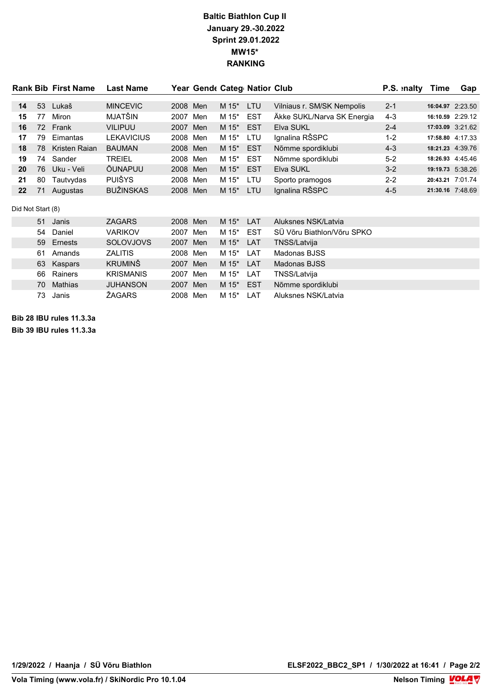## Baltic Biathlon Cup II January 29.-30.2022 Sprint 29.01.2022 MW15\* RANKING

|                   |    | <b>Rank Bib First Name</b> | <b>Last Name</b>  |          | Year Gende Categ Natior Club |       |            |                            | P.S. inalty | Time             | Gap |
|-------------------|----|----------------------------|-------------------|----------|------------------------------|-------|------------|----------------------------|-------------|------------------|-----|
| 14                | 53 | Lukaš                      | <b>MINCEVIC</b>   | 2008     | Men                          | M 15* | LTU        | Vilniaus r. SM/SK Nempolis | $2 - 1$     | 16:04.97 2:23.50 |     |
| 15                | 77 | <b>Miron</b>               | MJATŠIN           | 2007     | Men                          | M 15* | <b>EST</b> | Äkke SUKL/Narva SK Energia | $4 - 3$     | 16:10.59 2:29.12 |     |
| 16                |    | 72 Frank                   | <b>VILIPUU</b>    | 2007     | Men                          | M 15* | <b>EST</b> | <b>Elva SUKL</b>           | $2 - 4$     | 17:03.09 3:21.62 |     |
| 17                | 79 | Eimantas                   | <b>LEKAVICIUS</b> | 2008 Men |                              | M 15* | LTU        | Ignalina RŠSPC             | $1-2$       | 17:58.80 4:17.33 |     |
| 18                | 78 | Kristen Raian              | <b>BAUMAN</b>     | 2008 Men |                              | M 15* | <b>EST</b> | Nõmme spordiklubi          | $4 - 3$     | 18:21.23 4:39.76 |     |
| 19                | 74 | Sander                     | <b>TREIEL</b>     | 2008 Men |                              | M 15* | <b>EST</b> | Nõmme spordiklubi          | $5-2$       | 18:26.93 4:45.46 |     |
| 20                | 76 | Uku - Veli                 | ÕUNAPUU           | 2008 Men |                              | M 15* | <b>EST</b> | Elva SUKL                  | $3 - 2$     | 19:19.73 5:38.26 |     |
| 21                | 80 | Tautvydas                  | <b>PUIŠYS</b>     | 2008 Men |                              | M 15* | LTU        | Sporto pramogos            | $2 - 2$     | 20:43.21 7:01.74 |     |
| 22                | 71 | Augustas                   | <b>BUŽINSKAS</b>  | 2008 Men |                              | M 15* | LTU        | Ignalina RŠSPC             | $4 - 5$     | 21:30.16 7:48.69 |     |
| Did Not Start (8) |    |                            |                   |          |                              |       |            |                            |             |                  |     |
|                   | 51 | Janis                      | <b>ZAGARS</b>     | 2008 Men |                              | M 15* | LAT        | Aluksnes NSK/Latvia        |             |                  |     |
|                   | 54 | Daniel                     | <b>VARIKOV</b>    | 2007     | Men                          | M 15* | <b>EST</b> | SÜ Võru Biathlon/Võru SPKO |             |                  |     |
|                   | 59 | Ernests                    | <b>SOLOVJOVS</b>  | 2007     | Men                          | M 15* | <b>LAT</b> | TNSS/Latvija               |             |                  |     |
|                   | 61 | Amands                     | <b>ZALITIS</b>    | 2008     | Men                          | M 15* | LAT        | Madonas BJSS               |             |                  |     |
|                   | 63 | Kaspars                    | <b>KRUMINŠ</b>    | 2007     | Men                          | M 15* | <b>LAT</b> | Madonas BJSS               |             |                  |     |
|                   | 66 | Rainers                    | <b>KRISMANIS</b>  | 2007     | Men                          | M 15* | LAT        | TNSS/Latvija               |             |                  |     |
|                   | 70 | <b>Mathias</b>             | <b>JUHANSON</b>   | 2007     | Men                          | M 15* | <b>EST</b> | Nõmme spordiklubi          |             |                  |     |
|                   | 73 | Janis                      | ŽAGARS            | 2008     | Men                          | M 15* | LAT        | Aluksnes NSK/Latvia        |             |                  |     |

Bib 28 IBU rules 11.3.3a Bib 39 IBU rules 11.3.3a

Nelson Timing **VOLA**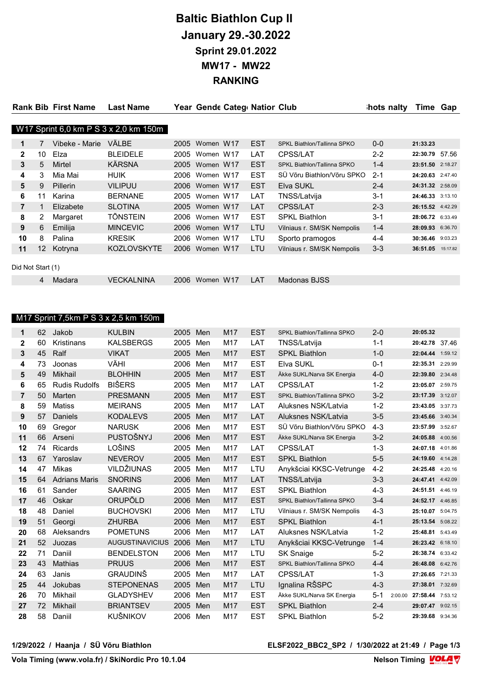# Baltic Biathlon Cup II January 29.-30.2022 Sprint 29.01.2022 MW17 - MW22 RANKING

|                   |                 | <b>Rank Bib First Name</b> | <b>Last Name</b>                      |      | Year Gende Categ Nation Club |            |                             | hots nalty | Time Gap          |  |
|-------------------|-----------------|----------------------------|---------------------------------------|------|------------------------------|------------|-----------------------------|------------|-------------------|--|
|                   |                 |                            |                                       |      |                              |            |                             |            |                   |  |
|                   |                 |                            | W17 Sprint 6,0 km P S 3 x 2,0 km 150m |      |                              |            |                             |            |                   |  |
| 1                 |                 | Vibeke - Marie             | VÄLBE                                 | 2005 | Women W17                    | <b>EST</b> | SPKL Biathlon/Tallinna SPKO | $0 - 0$    | 21:33.23          |  |
| $\overline{2}$    | 10              | Elza                       | <b>BLEIDELE</b>                       | 2005 | Women W17                    | LAT        | <b>CPSS/LAT</b>             | $2 - 2$    | 22:30.79 57.56    |  |
| 3                 | 5               | Mirtel                     | KÄRSNA                                | 2005 | Women W17                    | <b>EST</b> | SPKL Biathlon/Tallinna SPKO | $1 - 4$    | 23:51.50 2:18.27  |  |
| 4                 | 3               | Mia Mai                    | HUIK                                  |      | 2006 Women W17               | <b>EST</b> | SÜ Võru Biathlon/Võru SPKO  | $2 - 1$    | 24:20.63 2:47.40  |  |
| 5                 | 9               | <b>Pillerin</b>            | <b>VILIPUU</b>                        |      | 2006 Women W17               | <b>EST</b> | Elva SUKL                   | $2 - 4$    | 24:31.32 2:58.09  |  |
| 6                 | 11              | Karina                     | <b>BERNANE</b>                        |      | 2005 Women W17               | LAT        | TNSS/Latvija                | $3 - 1$    | 24:46.33 3:13.10  |  |
| 7                 |                 | Elizabete                  | <b>SLOTINA</b>                        |      | 2005 Women W17               | <b>LAT</b> | <b>CPSS/LAT</b>             | $2 - 3$    | 26:15.52 4:42.29  |  |
| 8                 | 2               | Margaret                   | TÕNSTEIN                              | 2006 | Women W17                    | <b>EST</b> | <b>SPKL Biathlon</b>        | $3 - 1$    | 28:06.72 6:33.49  |  |
| 9                 | 6               | Emilija                    | <b>MINCEVIC</b>                       |      | 2006 Women W17               | LTU        | Vilniaus r. SM/SK Nempolis  | $1 - 4$    | 28:09.93 6:36.70  |  |
| 10                | 8               | Palina                     | <b>KRESIK</b>                         | 2006 | Women W17                    | LTU        | Sporto pramogos             | $4 - 4$    | 30:36.46 9:03.23  |  |
| 11                | 12 <sup>°</sup> | Kotryna                    | <b>KOZLOVSKYTE</b>                    |      | 2006 Women W17               | LTU        | Vilniaus r. SM/SK Nempolis  | $3 - 3$    | 36:51.05 15:17.82 |  |
| Did Not Start (1) |                 |                            |                                       |      |                              |            |                             |            |                   |  |
|                   | 4               | Madara                     | <b>VECKALNINA</b>                     | 2006 | Women W17                    | LAT        | Madonas BJSS                |            |                   |  |

### M17 Sprint 7,5km P S 3 x 2,5 km 150m

| 1              | 62 | Jakob                | <b>KULBIN</b>          | 2005 | Men | M17 | <b>EST</b> | SPKL Biathlon/Tallinna SPKO | $2 - 0$            | 20:05.32         |         |
|----------------|----|----------------------|------------------------|------|-----|-----|------------|-----------------------------|--------------------|------------------|---------|
| $\mathbf{2}$   | 60 | Kristinans           | <b>KALSBERGS</b>       | 2005 | Men | M17 | LAT        | TNSS/Latvija                | $1 - 1$            | 20:42.78 37.46   |         |
| 3              | 45 | Ralf                 | <b>VIKAT</b>           | 2005 | Men | M17 | <b>EST</b> | <b>SPKL Biathlon</b>        | $1 - 0$            | 22:04.44 1:59.12 |         |
| 4              | 73 | Joonas               | VÄHI                   | 2006 | Men | M17 | <b>EST</b> | Elva SUKL                   | $0 - 1$            | 22:35.31 2:29.99 |         |
| 5              | 49 | Mikhail              | <b>BLOHHIN</b>         | 2005 | Men | M17 | <b>EST</b> | Äkke SUKL/Narva SK Energia  | $4 - 0$            | 22:39.80         | 2:34.48 |
| 6              | 65 | <b>Rudis Rudolfs</b> | <b>BIŠERS</b>          | 2005 | Men | M17 | LAT        | <b>CPSS/LAT</b>             | $1 - 2$            | 23:05.07         | 2:59.75 |
| $\overline{7}$ | 50 | Marten               | <b>PRESMANN</b>        | 2005 | Men | M17 | <b>EST</b> | SPKL Biathlon/Tallinna SPKO | $3 - 2$            | 23:17.39 3:12.07 |         |
| 8              | 59 | Matiss               | <b>MEIRANS</b>         | 2005 | Men | M17 | LAT        | Aluksnes NSK/Latvia         | $1 - 2$            | 23:43.05 3:37.73 |         |
| 9              | 57 | Daniels              | <b>KODALEVS</b>        | 2005 | Men | M17 | LAT        | Aluksnes NSK/Latvia         | $3-5$              | 23:45.66 3:40.34 |         |
| 10             | 69 | Gregor               | <b>NARUSK</b>          | 2006 | Men | M17 | <b>EST</b> | SÜ Võru Biathlon/Võru SPKO  | $4 - 3$            | 23:57.99 3:52.67 |         |
| 11             | 66 | Arseni               | PUSTOŠNYJ              | 2006 | Men | M17 | <b>EST</b> | Äkke SUKL/Narva SK Energia  | $3 - 2$            | 24:05.88         | 4:00.56 |
| 12             | 74 | <b>Ricards</b>       | LOŠINS                 | 2005 | Men | M17 | LAT        | CPSS/LAT                    | $1 - 3$            | 24:07.18         | 4:01.86 |
| 13             | 67 | Yaroslav             | <b>NEVEROV</b>         | 2005 | Men | M17 | <b>EST</b> | <b>SPKL Biathlon</b>        | $5-5$              | 24:19.60 4:14.28 |         |
| 14             | 47 | Mikas                | VILDŽIUNAS             | 2005 | Men | M17 | LTU        | Anykšciai KKSC-Vetrunge     | $4 - 2$            | 24:25.48         | 4:20.16 |
| 15             | 64 | <b>Adrians Maris</b> | <b>SNORINS</b>         | 2006 | Men | M17 | LAT        | TNSS/Latvija                | $3 - 3$            | 24:47.41 4:42.09 |         |
| 16             | 61 | Sander               | <b>SAARING</b>         | 2005 | Men | M17 | <b>EST</b> | <b>SPKL Biathlon</b>        | $4 - 3$            | 24:51.51 4:46.19 |         |
| 17             | 46 | Oskar                | ORUPÕLD                | 2006 | Men | M17 | <b>EST</b> | SPKL Biathlon/Tallinna SPKO | $3 - 4$            | 24:52.17 4:46.85 |         |
| 18             | 48 | Daniel               | <b>BUCHOVSKI</b>       | 2006 | Men | M17 | LTU        | Vilniaus r. SM/SK Nempolis  | $4 - 3$            | 25:10.07         | 5:04.75 |
| 19             | 51 | Georgi               | <b>ZHURBA</b>          | 2006 | Men | M17 | <b>EST</b> | <b>SPKL Biathlon</b>        | $4 - 1$            | 25:13.54 5:08.22 |         |
| 20             | 68 | Aleksandrs           | <b>POMETUNS</b>        | 2006 | Men | M17 | LAT        | Aluksnes NSK/Latvia         | $1 - 2$            | 25:48.81         | 5:43.49 |
| 21             | 52 | Juozas               | <b>AUGUSTINAVICIUS</b> | 2006 | Men | M17 | LTU        | Anykšciai KKSC-Vetrunge     | $1 - 4$            | 26:23.42 6:18.10 |         |
| 22             | 71 | Daniil               | <b>BENDELSTON</b>      | 2006 | Men | M17 | LTU        | <b>SK Snaige</b>            | $5 - 2$            | 26:38.74 6:33.42 |         |
| 23             | 43 | Mathias              | <b>PRUUS</b>           | 2006 | Men | M17 | <b>EST</b> | SPKL Biathlon/Tallinna SPKO | $4 - 4$            | 26:48.08 6:42.76 |         |
| 24             | 63 | Janis                | <b>GRAUDINS</b>        | 2005 | Men | M17 | LAT        | <b>CPSS/LAT</b>             | $1 - 3$            | 27:26.65 7:21.33 |         |
| 25             | 44 | Jokubas              | <b>STEPONENAS</b>      | 2005 | Men | M17 | LTU        | Ignalina RŠSPC              | $4 - 3$            | 27:38.01 7:32.69 |         |
| 26             | 70 | Mikhail              | <b>GLADYSHEV</b>       | 2006 | Men | M17 | <b>EST</b> | Äkke SUKL/Narva SK Energia  | $5 - 1$<br>2:00.00 | 27:58.44 7:53.12 |         |
| 27             | 72 | Mikhail              | <b>BRIANTSEV</b>       | 2005 | Men | M17 | <b>EST</b> | <b>SPKL Biathlon</b>        | $2 - 4$            | 29:07.47 9:02.15 |         |
| 28             | 58 | Daniil               | KUŠNIKOV               | 2006 | Men | M17 | <b>EST</b> | <b>SPKL Biathlon</b>        | $5 - 2$            | 29:39.68 9:34.36 |         |

#### 1/29/2022 / Haanja / SÜ Võru Biathlon ELSF2022\_BBC2\_SP2 / 1/30/2022 at 21:49 / Page 1/3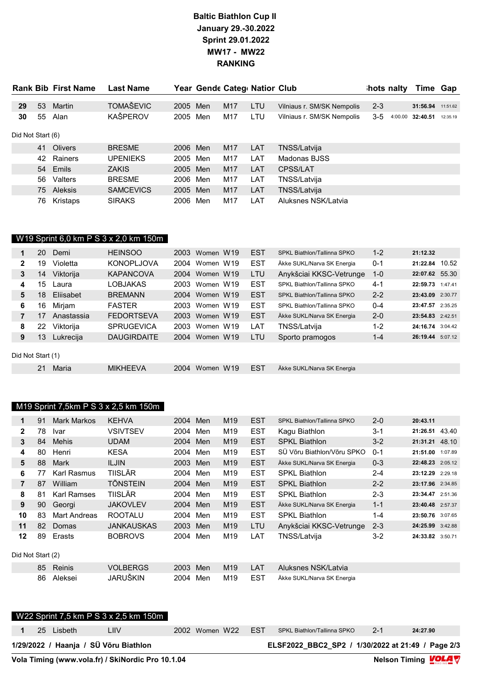# Baltic Biathlon Cup II January 29.-30.2022 Sprint 29.01.2022 MW17 - MW22 RANKING

|                   |    | <b>Rank Bib First Name</b> | <b>Last Name</b> |          |     |                 | Year Gende Categ Nation Club |                            | hots nalty |         | Time Gap |          |
|-------------------|----|----------------------------|------------------|----------|-----|-----------------|------------------------------|----------------------------|------------|---------|----------|----------|
|                   |    |                            |                  |          |     |                 |                              |                            |            |         |          |          |
| 29                | 53 | Martin                     | <b>TOMAŠEVIC</b> | 2005     | Men | M <sub>17</sub> | <b>LTU</b>                   | Vilniaus r. SM/SK Nempolis | $2 - 3$    |         | 31:56.94 | 11:51.62 |
| 30                | 55 | Alan                       | KAŠPEROV         | 2005     | Men | M17             | LTU.                         | Vilniaus r. SM/SK Nempolis | 3-5        | 4:00.00 | 32:40.51 | 12:35.19 |
| Did Not Start (6) |    |                            |                  |          |     |                 |                              |                            |            |         |          |          |
|                   |    | 41 Olivers                 | <b>BRESME</b>    | 2006 Men |     | M <sub>17</sub> | <b>LAT</b>                   | TNSS/Latvija               |            |         |          |          |
|                   | 42 | Rainers                    | <b>UPENIEKS</b>  | 2005     | Men | M17             | LAT                          | Madonas BJSS               |            |         |          |          |
|                   |    | 54 Emils                   | <b>ZAKIS</b>     | 2005 Men |     | M17             | LAT                          | <b>CPSS/LAT</b>            |            |         |          |          |
|                   | 56 | Valters                    | <b>BRESME</b>    | 2006     | Men | M17             | LAT                          | TNSS/Latvija               |            |         |          |          |
|                   |    | 75 Aleksis                 | <b>SAMCEVICS</b> | 2005     | Men | M <sub>17</sub> | LAT                          | TNSS/Latvija               |            |         |          |          |
|                   | 76 | Kristaps                   | <b>SIRAKS</b>    | 2006     | Men | M17             | LAT                          | Aluksnes NSK/Latvia        |            |         |          |          |

# W19 Sprint 6,0 km P S 3 x 2,0 km 150m

|                   | 20 | Demi       | <b>HEINSOO</b>     | 2003 | Women W19 | <b>EST</b> | SPKL Biathlon/Tallinna SPKO | $1 - 2$ | 21:12.32         |  |
|-------------------|----|------------|--------------------|------|-----------|------------|-----------------------------|---------|------------------|--|
| $\mathbf{2}$      | 19 | Violetta   | <b>KONOPLJOVA</b>  | 2004 | Women W19 | <b>EST</b> | Äkke SUKL/Narva SK Energia  | $0 - 1$ | 21:22.84 10.52   |  |
| 3                 | 14 | Viktorija  | <b>KAPANCOVA</b>   | 2004 | Women W19 | <b>LTU</b> | Anykšciai KKSC-Vetrunge     | $1 - 0$ | 22:07.62 55.30   |  |
| 4                 | 15 | Laura      | LOBJAKAS           | 2003 | Women W19 | <b>EST</b> | SPKL Biathlon/Tallinna SPKO | $4-1$   | 22:59.73 1:47.41 |  |
| 5                 | 18 | Eliisabet  | <b>BREMANN</b>     | 2004 | Women W19 | <b>EST</b> | SPKL Biathlon/Tallinna SPKO | $2 - 2$ | 23:43.09 2:30.77 |  |
| 6                 | 16 | Mirjam     | <b>FASTER</b>      | 2003 | Women W19 | <b>EST</b> | SPKL Biathlon/Tallinna SPKO | $0 - 4$ | 23:47.57 2:35.25 |  |
| 7                 | 17 | Anastassia | <b>FEDORTSEVA</b>  | 2003 | Women W19 | <b>EST</b> | Äkke SUKL/Narva SK Energia  | $2 - 0$ | 23:54.83 2:42.51 |  |
| 8                 | 22 | Viktorija  | <b>SPRUGEVICA</b>  | 2003 | Women W19 | LAT        | TNSS/Latvija                | $1-2$   | 24:16.74 3:04.42 |  |
| 9                 | 13 | Lukrecija  | <b>DAUGIRDAITE</b> | 2004 | Women W19 | <b>LTU</b> | Sporto pramogos             | $1 - 4$ | 26:19.44 5:07.12 |  |
| Did Not Start (1) |    |            |                    |      |           |            |                             |         |                  |  |
|                   | 21 | Maria      | <b>MIKHEEVA</b>    | 2004 | Women W19 | <b>EST</b> | Äkke SUKL/Narva SK Energia  |         |                  |  |
|                   |    |            |                    |      |           |            |                             |         |                  |  |

# M19 Sprint 7,5km P S 3 x 2,5 km 150m

| 1                 | 91 | <b>Mark Markos</b> | <b>KEHVA</b>      | 2004 | Men | M <sub>19</sub> | <b>EST</b> | SPKL Biathlon/Tallinna SPKO | $2 - 0$ | 20:43.11         |         |
|-------------------|----|--------------------|-------------------|------|-----|-----------------|------------|-----------------------------|---------|------------------|---------|
| $\overline{2}$    | 78 | <u>Ivar</u>        | <b>VSIVTSEV</b>   | 2004 | Men | M19             | <b>EST</b> | Kagu Biathlon               | $3 - 1$ | 21:26.51 43.40   |         |
| 3                 | 84 | Mehis              | <b>UDAM</b>       | 2004 | Men | M <sub>19</sub> | <b>EST</b> | <b>SPKL Biathlon</b>        | $3 - 2$ | 21:31.21 48.10   |         |
| 4                 | 80 | Henri              | KESA              | 2004 | Men | M19             | <b>EST</b> | SÜ Võru Biathlon/Võru SPKO  | $0 - 1$ | 21:51.00         | 1:07.89 |
| 5                 | 88 | Mark               | <b>ILJIN</b>      | 2003 | Men | M <sub>19</sub> | <b>EST</b> | Äkke SUKL/Narva SK Energia  | $0 - 3$ | 22:48.23 2:05.12 |         |
| 6                 | 77 | Karl Rasmus        | <b>TIISLÄR</b>    | 2004 | Men | M19             | <b>EST</b> | <b>SPKL Biathlon</b>        | $2 - 4$ | 23:12.29 2:29.18 |         |
| $\overline{7}$    | 87 | William            | <b>TÕNSTEIN</b>   | 2004 | Men | M <sub>19</sub> | <b>EST</b> | <b>SPKL Biathlon</b>        | $2 - 2$ | 23:17.96 2:34.85 |         |
| 8                 | 81 | Karl Ramses        | <b>TIISLÄR</b>    | 2004 | Men | M19             | <b>EST</b> | <b>SPKL Biathlon</b>        | $2 - 3$ | 23:34.47 2:51.36 |         |
| 9                 | 90 | Georgi             | <b>JAKOVLEV</b>   | 2004 | Men | M <sub>19</sub> | <b>EST</b> | Äkke SUKL/Narva SK Energia  | $1 - 1$ | 23:40.48 2:57.37 |         |
| 10                | 83 | Mart Andreas       | <b>ROOTALU</b>    | 2004 | Men | M19             | <b>EST</b> | <b>SPKL Biathlon</b>        | $1 - 4$ | 23:50.76 3:07.65 |         |
| 11                | 82 | <b>Domas</b>       | <b>JANKAUSKAS</b> | 2003 | Men | M <sub>19</sub> | <b>LTU</b> | Anykšciai KKSC-Vetrunge     | $2 - 3$ | 24:25.99 3:42.88 |         |
| 12                | 89 | Erasts             | <b>BOBROVS</b>    | 2004 | Men | M19             | LAT        | TNSS/Latvija                | $3 - 2$ | 24:33.82 3:50.71 |         |
| Did Not Start (2) |    |                    |                   |      |     |                 |            |                             |         |                  |         |
|                   | 85 | Reinis             | <b>VOLBERGS</b>   | 2003 | Men | M <sub>19</sub> | LAT        | Aluksnes NSK/Latvia         |         |                  |         |
|                   | 86 | Aleksei            | JARUŠKIN          | 2004 | Men | M19             | <b>EST</b> | Äkke SUKL/Narva SK Energia  |         |                  |         |

|  |            | Vola Timing (www.vola.fr) / SkiNordic Pro 10.1.04 |  |                    |                                                   |         | Nelson Timing <b>LOLA</b> |
|--|------------|---------------------------------------------------|--|--------------------|---------------------------------------------------|---------|---------------------------|
|  |            | 1/29/2022 / Haanja / SÜ Võru Biathlon             |  |                    | ELSF2022 BBC2 SP2 / 1/30/2022 at 21:49 / Page 2/3 |         |                           |
|  | 25 Lisbeth | LIIV                                              |  | 2002 Women W22 EST | SPKL Biathlon/Tallinna SPKO                       | $2 - 1$ | 24:27.90                  |
|  |            | W22 Sprint 7,5 km P S 3 x 2,5 km 150m             |  |                    |                                                   |         |                           |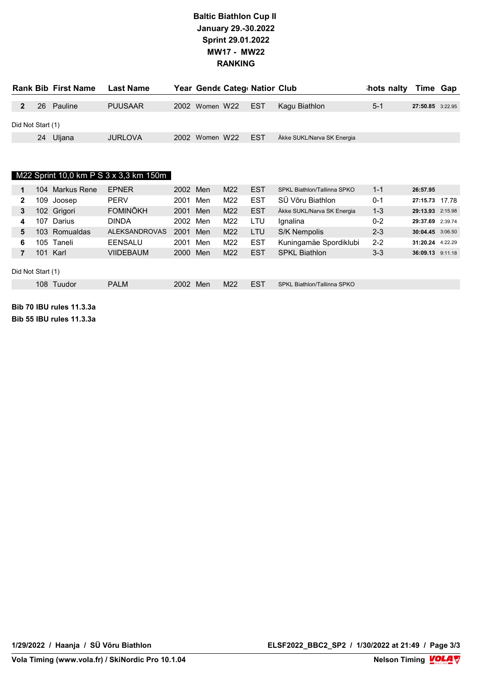### Baltic Biathlon Cup II January 29.-30.2022 Sprint 29.01.2022 MW17 - MW22 RANKING

|                   |    | <b>Rank Bib First Name</b> | Last Name      | Year Gende Categ Nation Club |     |                            | hots nalty Time Gap |                  |  |
|-------------------|----|----------------------------|----------------|------------------------------|-----|----------------------------|---------------------|------------------|--|
|                   | 26 | Pauline                    | <b>PUUSAAR</b> | 2002 Women W22 EST           |     | Kagu Biathlon              | $5-1$               | 27:50.85 3:22.95 |  |
|                   |    |                            |                |                              |     |                            |                     |                  |  |
| Did Not Start (1) |    |                            |                |                              |     |                            |                     |                  |  |
|                   |    | 24 Uljana                  | <b>JURLOVA</b> | 2002 Women W22               | EST | Äkke SUKL/Narva SK Energia |                     |                  |  |

### M22 Sprint 10,0 km P S 3 x 3,3 km 150m

| 1 | 104.              | Markus Rene   | <b>EPNER</b>         | 2002 Men |     | M <sub>22</sub> | <b>EST</b> | SPKL Biathlon/Tallinna SPKO | $1 - 1$ | 26:57.95         |  |
|---|-------------------|---------------|----------------------|----------|-----|-----------------|------------|-----------------------------|---------|------------------|--|
| 2 | 109               | Joosep        | <b>PERV</b>          | 2001     | Men | M22             | <b>EST</b> | SÜ Võru Biathlon            | $0 - 1$ | 27:15.73 17.78   |  |
| 3 |                   | 102 Grigori   | <b>FOMINÔKH</b>      | 2001     | Men | M <sub>22</sub> | <b>EST</b> | Äkke SUKL/Narva SK Energia  | $1 - 3$ | 29:13.93 2:15.98 |  |
| 4 | 107               | Darius        | <b>DINDA</b>         | 2002     | Men | M22             | LTU        | lgnalina                    | $0 - 2$ | 29:37.69 2:39.74 |  |
| 5 |                   | 103 Romualdas | <b>ALEKSANDROVAS</b> | 2001     | Men | M22             | <b>LTU</b> | S/K Nempolis                | $2 - 3$ | 30:04.45 3:06.50 |  |
| 6 |                   | 105 Taneli    | EENSALU              | 2001     | Men | M22             | <b>EST</b> | Kuningamäe Spordiklubi      | $2 - 2$ | 31:20.24 4:22.29 |  |
| 7 |                   | 101 Karl      | <b>VIIDEBAUM</b>     | 2000     | Men | M <sub>22</sub> | <b>EST</b> | <b>SPKL Biathlon</b>        | $3 - 3$ | 36:09.13 9:11.18 |  |
|   | Did Not Start (1) |               |                      |          |     |                 |            |                             |         |                  |  |
|   |                   | 108 Tuudor    | <b>PALM</b>          | 2002     | Men | M <sub>22</sub> | <b>EST</b> | SPKL Biathlon/Tallinna SPKO |         |                  |  |

Bib 70 IBU rules 11.3.3a Bib 55 IBU rules 11.3.3a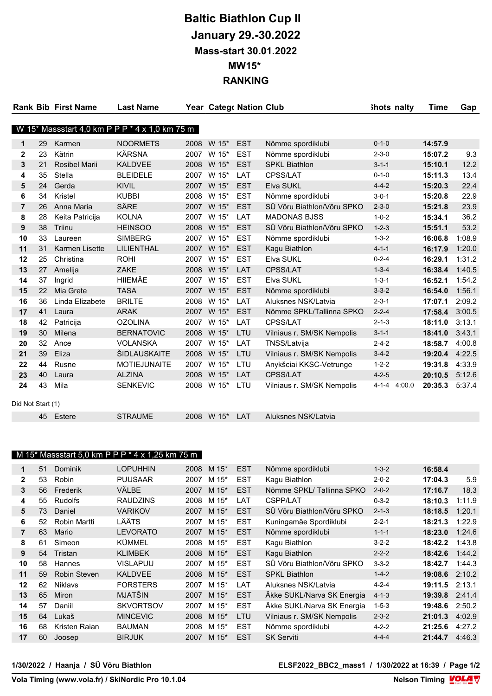# Baltic Biathlon Cup II January 29.-30.2022 Mass-start 30.01.2022 MW15\* RANKING

|                   |    | <b>Rank Bib First Name</b> | <b>Last Name</b>                               |      | Year Catego Nation Club |            |                            | ihots nalty           | Time    | Gap    |
|-------------------|----|----------------------------|------------------------------------------------|------|-------------------------|------------|----------------------------|-----------------------|---------|--------|
|                   |    |                            |                                                |      |                         |            |                            |                       |         |        |
|                   |    |                            | W 15* Massstart 4,0 km P P P * 4 x 1,0 km 75 m |      |                         |            |                            |                       |         |        |
| 1                 | 29 | Karmen                     | <b>NOORMETS</b>                                | 2008 | W 15*                   | <b>EST</b> | Nõmme spordiklubi          | $0 - 1 - 0$           | 14:57.9 |        |
| $\mathbf{2}$      | 23 | Kätrin                     | <b>KÄRSNA</b>                                  |      | 2007 W 15*              | <b>EST</b> | Nõmme spordiklubi          | $2 - 3 - 0$           | 15:07.2 | 9.3    |
| 3                 | 21 | <b>Rosibel Marii</b>       | <b>KALDVEE</b>                                 | 2008 | W 15*                   | <b>EST</b> | <b>SPKL Biathlon</b>       | $3 - 1 - 1$           | 15:10.1 | 12.2   |
| 4                 | 35 | Stella                     | <b>BLEIDELE</b>                                |      | 2007 W 15*              | LAT        | CPSS/LAT                   | $0 - 1 - 0$           | 15:11.3 | 13.4   |
| 5                 | 24 | Gerda                      | <b>KIVIL</b>                                   | 2007 | W 15*                   | <b>EST</b> | Elva SUKL                  | $4 - 4 - 2$           | 15:20.3 | 22.4   |
| 6                 | 34 | Kristel                    | <b>KUBBI</b>                                   | 2008 | W 15*                   | <b>EST</b> | Nõmme spordiklubi          | $3 - 0 - 1$           | 15:20.8 | 22.9   |
| $\overline{7}$    | 26 | Anna Maria                 | SÄRE                                           | 2007 | W 15*                   | <b>EST</b> | SÜ Võru Biathlon/Võru SPKO | $2 - 3 - 0$           | 15:21.8 | 23.9   |
| 8                 | 28 | Keita Patricija            | <b>KOLNA</b>                                   | 2007 | W 15*                   | LAT        | <b>MADONAS BJSS</b>        | $1 - 0 - 2$           | 15:34.1 | 36.2   |
| 9                 | 38 | <b>Triinu</b>              | <b>HEINSOO</b>                                 | 2008 | W 15*                   | <b>EST</b> | SÜ Võru Biathlon/Võru SPKO | $1 - 2 - 3$           | 15:51.1 | 53.2   |
| 10                | 33 | Laureen                    | <b>SIMBERG</b>                                 | 2007 | W 15*                   | <b>EST</b> | Nõmme spordiklubi          | $1 - 3 - 2$           | 16:06.8 | 1:08.9 |
| 11                | 31 | <b>Karmen Lisette</b>      | LILIENTHAL                                     |      | 2007 W 15*              | <b>EST</b> | Kagu Biathlon              | $4 - 1 - 1$           | 16:17.9 | 1:20.0 |
| 12                | 25 | Christina                  | <b>ROHI</b>                                    | 2007 | W 15*                   | <b>EST</b> | Elva SUKL                  | $0 - 2 - 4$           | 16:29.1 | 1:31.2 |
| 13                | 27 | Amelija                    | <b>ZAKE</b>                                    |      | 2008 W 15*              | <b>LAT</b> | <b>CPSS/LAT</b>            | $1 - 3 - 4$           | 16:38.4 | 1:40.5 |
| 14                | 37 | Ingrid                     | <b>HIIEMÄE</b>                                 | 2007 | W 15*                   | <b>EST</b> | Elva SUKL                  | $1 - 3 - 1$           | 16:52.1 | 1:54.2 |
| 15                | 22 | Mia Grete                  | <b>TASA</b>                                    |      | 2007 W 15*              | <b>EST</b> | Nõmme spordiklubi          | $3 - 3 - 2$           | 16:54.0 | 1:56.1 |
| 16                | 36 | Linda Elizabete            | <b>BRILTE</b>                                  | 2008 | W 15*                   | LAT        | Aluksnes NSK/Latvia        | $2 - 3 - 1$           | 17:07.1 | 2:09.2 |
| 17                | 41 | Laura                      | <b>ARAK</b>                                    | 2007 | W 15*                   | <b>EST</b> | Nõmme SPKL/Tallinna SPKO   | $2 - 2 - 4$           | 17:58.4 | 3:00.5 |
| 18                | 42 | Patricija                  | <b>OZOLINA</b>                                 | 2007 | W 15*                   | LAT        | CPSS/LAT                   | $2 - 1 - 3$           | 18:11.0 | 3:13.1 |
| 19                | 30 | Milena                     | <b>BERNATOVIC</b>                              | 2008 | W 15*                   | LTU        | Vilniaus r. SM/SK Nempolis | $3 - 1 - 1$           | 18:41.0 | 3:43.1 |
| 20                | 32 | Ance                       | <b>VOLANSKA</b>                                | 2007 | W 15*                   | <b>LAT</b> | TNSS/Latvija               | $2 - 4 - 2$           | 18:58.7 | 4:00.8 |
| 21                | 39 | Eliza                      | ŠIDLAUSKAITE                                   | 2008 | W 15*                   | LTU        | Vilniaus r. SM/SK Nempolis | $3 - 4 - 2$           | 19:20.4 | 4:22.5 |
| 22                | 44 | Rusne                      | <b>MOTIEJUNAITE</b>                            | 2007 | W 15*                   | LTU        | Anykšciai KKSC-Vetrunge    | $1 - 2 - 2$           | 19:31.8 | 4:33.9 |
| 23                | 40 | Laura                      | <b>ALZINA</b>                                  | 2008 | W 15*                   | LAT        | CPSS/LAT                   | $4 - 2 - 5$           | 20:10.5 | 5:12.6 |
| 24                | 43 | Mila                       | <b>SENKEVIC</b>                                | 2008 | W 15*                   | LTU        | Vilniaus r. SM/SK Nempolis | $4 - 1 - 4$<br>4:00.0 | 20:35.3 | 5:37.4 |
| Did Not Start (1) |    |                            |                                                |      |                         |            |                            |                       |         |        |
|                   |    | 45 Estere                  | <b>STRAUME</b>                                 |      | 2008 W 15*              | LAT        | Aluksnes NSK/Latvia        |                       |         |        |

#### M 15\* Massstart 5,0 km P P P \* 4 x 1,25 km 75 m

| 1              | 51 | <b>Dominik</b> | <b>LOPUHHIN</b>  | 2008 | M $15^*$   | <b>EST</b> | Nõmme spordiklubi          | $1 - 3 - 2$ | 16:58.4 |        |
|----------------|----|----------------|------------------|------|------------|------------|----------------------------|-------------|---------|--------|
| $\mathbf{2}$   | 53 | Robin          | <b>PUUSAAR</b>   | 2007 | M 15*      | <b>EST</b> | Kagu Biathlon              | $2 - 0 - 2$ | 17:04.3 | 5.9    |
| 3              | 56 | Frederik       | VÄLBE            | 2007 | M 15*      | <b>EST</b> | Nõmme SPKL/Tallinna SPKO   | $2 - 0 - 2$ | 17:16.7 | 18.3   |
| 4              | 55 | Rudolfs        | <b>RAUDZINS</b>  | 2008 | M 15*      | LAT        | CSPP/LAT                   | $0 - 3 - 2$ | 18:10.3 | 1:11.9 |
| 5              | 73 | Daniel         | <b>VARIKOV</b>   | 2007 | $M$ 15 $*$ | <b>EST</b> | SÜ Võru Biathlon/Võru SPKO | $2 - 1 - 3$ | 18:18.5 | 1:20.1 |
| 6              | 52 | Robin Martti   | LÄÄTS            | 2007 | M 15*      | <b>EST</b> | Kuningamäe Spordiklubi     | $2 - 2 - 1$ | 18:21.3 | 1:22.9 |
| $\overline{7}$ | 63 | Mario          | <b>LEVORATO</b>  | 2007 | M 15*      | <b>EST</b> | Nõmme spordiklubi          | $1 - 1 - 1$ | 18:23.0 | 1:24.6 |
| 8              | 61 | Simeon         | <b>KÜMMEL</b>    | 2008 | M 15*      | <b>EST</b> | Kagu Biathlon              | $3 - 2 - 2$ | 18:42.2 | 1:43.8 |
| 9              | 54 | Tristan        | <b>KLIMBEK</b>   | 2008 | M 15*      | <b>EST</b> | Kagu Biathlon              | $2 - 2 - 2$ | 18:42.6 | 1:44.2 |
| 10             | 58 | Hannes         | <b>VISLAPUU</b>  | 2007 | M 15*      | <b>EST</b> | SÜ Võru Biathlon/Võru SPKO | $3 - 3 - 2$ | 18:42.7 | 1:44.3 |
| 11             | 59 | Robin Steven   | <b>KALDVEE</b>   | 2008 | M 15*      | <b>EST</b> | <b>SPKL Biathlon</b>       | $1 - 4 - 2$ | 19:08.6 | 2:10.2 |
| 12             | 62 | <b>Niklavs</b> | <b>FORSTERS</b>  | 2007 | M 15*      | LAT        | Aluksnes NSK/Latvia        | $4 - 2 - 4$ | 19:11.5 | 2:13.1 |
| 13             | 65 | <b>Miron</b>   | <b>MJATŠIN</b>   | 2007 | $M$ 15 $*$ | <b>EST</b> | Äkke SUKL/Narva SK Energia | $4 - 1 - 3$ | 19:39.8 | 2:41.4 |
| 14             | 57 | Daniil         | <b>SKVORTSOV</b> | 2007 | M 15*      | <b>EST</b> | Äkke SUKL/Narva SK Energia | $1 - 5 - 3$ | 19:48.6 | 2:50.2 |
| 15             | 64 | Lukaš          | <b>MINCEVIC</b>  | 2008 | M 15*      | <b>LTU</b> | Vilniaus r. SM/SK Nempolis | $2 - 3 - 2$ | 21:01.3 | 4:02.9 |
| 16             | 68 | Kristen Raian  | <b>BAUMAN</b>    | 2008 | M 15*      | <b>EST</b> | Nõmme spordiklubi          | $4 - 2 - 2$ | 21:25.6 | 4:27.2 |
| 17             | 60 | Joosep         | <b>BIRJUK</b>    | 2007 | M 15*      | <b>EST</b> | <b>SK Serviti</b>          | $4 - 4 - 4$ | 21:44.7 | 4:46.3 |
|                |    |                |                  |      |            |            |                            |             |         |        |

1/30/2022 / Haanja / SÜ Võru Biathlon ELSF2022\_BBC2\_mass1 / 1/30/2022 at 16:39 / Page 1/2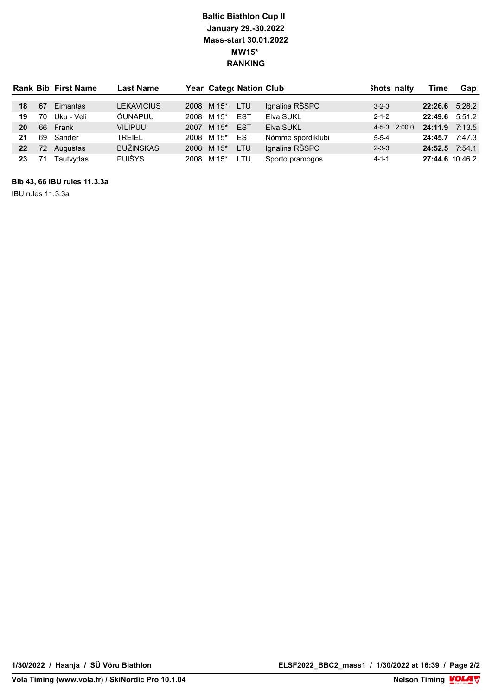## Baltic Biathlon Cup II January 29.-30.2022 Mass-start 30.01.2022 MW15\* RANKING

|    |     | <b>Rank Bib First Name</b> | <b>Last Name</b>  | Year Catego Nation Club |            |                   | ihots nalty |              | Time             | Gap    |
|----|-----|----------------------------|-------------------|-------------------------|------------|-------------------|-------------|--------------|------------------|--------|
|    |     |                            |                   |                         |            |                   |             |              |                  |        |
| 18 | 67  | Eimantas                   | <b>LEKAVICIUS</b> | 2008 M 15*              | <b>LTU</b> | Ignalina RŠSPC    | $3 - 2 - 3$ |              | $22:26.6$ 5:28.2 |        |
| 19 | 70  | Uku - Veli                 | ÕUNAPUU           | 2008 M 15*              | EST        | Elva SUKL         | $2 - 1 - 2$ |              | 22:49.6          | 5:51.2 |
| 20 | 66  | Frank                      | <b>VILIPUU</b>    | 2007 M 15*              | <b>EST</b> | Elva SUKL         |             | 4-5-3 2:00.0 | 24:11.9          | 7:13.5 |
| 21 |     | 69 Sander                  | TREIEL            | 2008 M 15*              | EST        | Nõmme spordiklubi | $5 - 5 - 4$ |              | 24:45.7          | 7:47.3 |
| 22 | 72. | Augustas                   | <b>BUŽINSKAS</b>  | 2008 M 15*              | <b>LTU</b> | Ignalina RŠSPC    | $2 - 3 - 3$ |              | 24:52.5 7:54.1   |        |
| 23 | 71  | Tautvydas                  | <b>PUIŠYS</b>     | 2008 M 15*              | LTU        | Sporto pramogos   | $4 - 1 - 1$ |              | 27:44.6 10:46.2  |        |

Bib 43, 66 IBU rules 11.3.3a

IBU rules 11.3.3a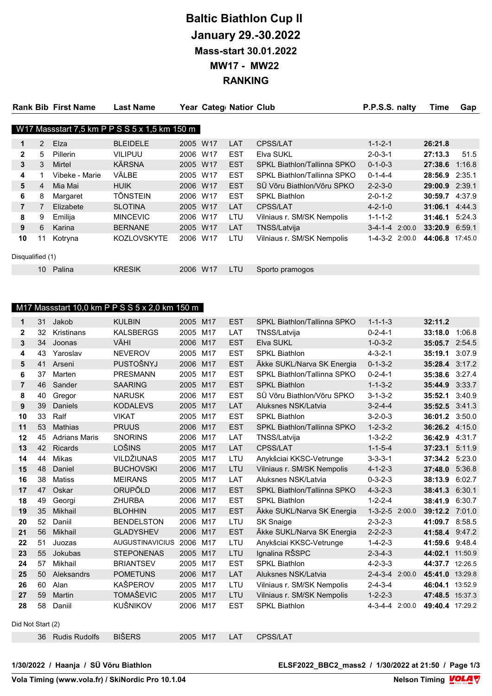# Baltic Biathlon Cup II January 29.-30.2022 Mass-start 30.01.2022 MW17 - MW22 RANKING

|                  |    | <b>Rank Bib First Name</b> | <b>Last Name</b>                              |          | Year Categ Nation Club |            |                             | P.P.S.S. nalty         | Time    | Gap     |
|------------------|----|----------------------------|-----------------------------------------------|----------|------------------------|------------|-----------------------------|------------------------|---------|---------|
|                  |    |                            |                                               |          |                        |            |                             |                        |         |         |
|                  |    |                            | W17 Massstart 7,5 km P P S S 5 x 1,5 km 150 m |          |                        |            |                             |                        |         |         |
| 1                | 2  | Elza                       | <b>BLEIDELE</b>                               | 2005 W17 |                        | LAT        | CPSS/LAT                    | $1 - 1 - 2 - 1$        | 26:21.8 |         |
| $\overline{2}$   | 5  | Pillerin                   | <b>VILIPUU</b>                                | 2006     | W17                    | <b>EST</b> | Elva SUKL                   | $2 - 0 - 3 - 1$        | 27:13.3 | 51.5    |
| 3                | 3  | Mirtel                     | KÄRSNA                                        | 2005 W17 |                        | <b>EST</b> | SPKL Biathlon/Tallinna SPKO | $0 - 1 - 0 - 3$        | 27:38.6 | 1:16.8  |
| 4                |    | Vibeke - Marie             | VÄLBE                                         | 2005     | W17                    | <b>EST</b> | SPKL Biathlon/Tallinna SPKO | $0 - 1 - 4 - 4$        | 28:56.9 | 2:35.1  |
| 5                | 4  | Mia Mai                    | <b>HUIK</b>                                   | 2006 W17 |                        | <b>EST</b> | SÜ Võru Biathlon/Võru SPKO  | $2 - 2 - 3 - 0$        | 29:00.9 | 2:39.1  |
| 6                | 8  | Margaret                   | <b>TÕNSTEIN</b>                               | 2006     | W <sub>17</sub>        | <b>EST</b> | <b>SPKL Biathlon</b>        | $2 - 0 - 1 - 2$        | 30:59.7 | 4:37.9  |
| $\overline{7}$   | 7  | Elizabete                  | <b>SLOTINA</b>                                | 2005 W17 |                        | LAT        | <b>CPSS/LAT</b>             | $4 - 2 - 1 - 0$        | 31:06.1 | 4:44.3  |
| 8                | 9  | Emilija                    | <b>MINCEVIC</b>                               | 2006     | W17                    | LTU        | Vilniaus r. SM/SK Nempolis  | $1 - 1 - 1 - 2$        | 31:46.1 | 5:24.3  |
| 9                | 6  | Karina                     | <b>BERNANE</b>                                | 2005 W17 |                        | LAT        | TNSS/Latvija                | $3-4-1-4$ 2:00.0       | 33:20.9 | 6:59.1  |
| 10               | 11 | Kotryna                    | <b>KOZLOVSKYTE</b>                            | 2006     | W <sub>17</sub>        | LTU        | Vilniaus r. SM/SK Nempolis  | $1 - 4 - 3 - 2$ 2:00.0 | 44:06.8 | 17:45.0 |
| Disqualified (1) |    |                            |                                               |          |                        |            |                             |                        |         |         |
|                  | 10 | Palina                     | <b>KRESIK</b>                                 | 2006     | W <sub>17</sub>        | LTU        | Sporto pramogos             |                        |         |         |
|                  |    |                            |                                               |          |                        |            |                             |                        |         |         |

### M17 Massstart 10,0 km P P S S 5 x 2,0 km 150 m

| 1                 | 31 | Jakob                | <b>KULBIN</b>          | 2005 M17 |     | <b>EST</b> | SPKL Biathlon/Tallinna SPKO | $1 - 1 - 1 - 3$        | 32:11.2         |        |
|-------------------|----|----------------------|------------------------|----------|-----|------------|-----------------------------|------------------------|-----------------|--------|
| $\mathbf 2$       | 32 | Kristinans           | <b>KALSBERGS</b>       | 2005     | M17 | LAT        | TNSS/Latvija                | $0 - 2 - 4 - 1$        | 33:18.0         | 1:06.8 |
| 3                 | 34 | Joonas               | VÄHI                   | 2006 M17 |     | <b>EST</b> | Elva SUKL                   | $1 - 0 - 3 - 2$        | 35:05.7 2:54.5  |        |
| 4                 | 43 | Yaroslav             | <b>NEVEROV</b>         | 2005     | M17 | <b>EST</b> | <b>SPKL Biathlon</b>        | $4 - 3 - 2 - 1$        | 35:19.1         | 3:07.9 |
| 5                 | 41 | Arseni               | PUSTOŠNYJ              | 2006     | M17 | <b>EST</b> | Äkke SUKL/Narva SK Energia  | $0 - 1 - 3 - 2$        | 35:28.4 3:17.2  |        |
| 6                 | 37 | Marten               | <b>PRESMANN</b>        | 2005     | M17 | <b>EST</b> | SPKL Biathlon/Tallinna SPKO | $0 - 2 - 4 - 1$        | 35:38.6         | 3:27.4 |
| $\overline{7}$    | 46 | Sander               | <b>SAARING</b>         | 2005     | M17 | <b>EST</b> | <b>SPKL Biathlon</b>        | $1 - 1 - 3 - 2$        | 35:44.9         | 3:33.7 |
| 8                 | 40 | Gregor               | <b>NARUSK</b>          | 2006     | M17 | <b>EST</b> | SÜ Võru Biathlon/Võru SPKO  | $3 - 1 - 3 - 2$        | 35:52.1         | 3:40.9 |
| 9                 | 39 | <b>Daniels</b>       | <b>KODALEVS</b>        | 2005     | M17 | LAT        | Aluksnes NSK/Latvia         | $3 - 2 - 4 - 4$        | 35:52.5 3:41.3  |        |
| 10                | 33 | Ralf                 | <b>VIKAT</b>           | 2005     | M17 | <b>EST</b> | <b>SPKL Biathlon</b>        | $3 - 2 - 0 - 3$        | 36:01.2 3:50.0  |        |
| 11                | 53 | <b>Mathias</b>       | <b>PRUUS</b>           | 2006     | M17 | <b>EST</b> | SPKL Biathlon/Tallinna SPKO | $1 - 2 - 3 - 2$        | 36:26.2 4:15.0  |        |
| 12                | 45 | <b>Adrians Maris</b> | <b>SNORINS</b>         | 2006     | M17 | LAT        | TNSS/Latvija                | $1 - 3 - 2 - 2$        | 36:42.9         | 4:31.7 |
| 13                | 42 | Ricards              | LOŠINS                 | 2005 M17 |     | LAT        | CPSS/LAT                    | $1 - 1 - 5 - 4$        | 37:23.1         | 5:11.9 |
| 14                | 44 | Mikas                | VILDŽIUNAS             | 2005     | M17 | LTU        | Anykšciai KKSC-Vetrunge     | $3 - 3 - 3 - 1$        | 37:34.2         | 5:23.0 |
| 15                | 48 | Daniel               | <b>BUCHOVSKI</b>       | 2006 M17 |     | LTU        | Vilniaus r. SM/SK Nempolis  | $4 - 1 - 2 - 3$        | 37:48.0         | 5:36.8 |
| 16                | 38 | <b>Matiss</b>        | <b>MEIRANS</b>         | 2005     | M17 | LAT        | Aluksnes NSK/Latvia         | $0 - 3 - 2 - 3$        | 38:13.9         | 6:02.7 |
| 17                | 47 | Oskar                | ORUPÕLD                | 2006     | M17 | <b>EST</b> | SPKL Biathlon/Tallinna SPKO | $4 - 3 - 2 - 3$        | 38:41.3         | 6:30.1 |
| 18                | 49 | Georgi               | <b>ZHURBA</b>          | 2006     | M17 | <b>EST</b> | <b>SPKL Biathlon</b>        | $1 - 2 - 2 - 4$        | 38:41.9         | 6:30.7 |
| 19                | 35 | Mikhail              | <b>BLOHHIN</b>         | 2005     | M17 | <b>EST</b> | Äkke SUKL/Narva SK Energia  | $1 - 3 - 2 - 5$ 2:00.0 | 39:12.2 7:01.0  |        |
| 20                | 52 | Daniil               | <b>BENDELSTON</b>      | 2006     | M17 | LTU        | <b>SK Snaige</b>            | $2 - 3 - 2 - 3$        | 41:09.7 8:58.5  |        |
| 21                | 56 | Mikhail              | <b>GLADYSHEV</b>       | 2006     | M17 | <b>EST</b> | Äkke SUKL/Narva SK Energia  | $2 - 2 - 2 - 3$        | 41:58.4 9:47.2  |        |
| 22                | 51 | Juozas               | <b>AUGUSTINAVICIUS</b> | 2006     | M17 | LTU        | Anykšciai KKSC-Vetrunge     | $1 - 4 - 2 - 3$        | 41:59.6 9:48.4  |        |
| 23                | 55 | Jokubas              | <b>STEPONENAS</b>      | 2005     | M17 | LTU        | Ignalina RŠSPC              | $2 - 3 - 4 - 3$        | 44:02.1 11:50.9 |        |
| 24                | 57 | Mikhail              | <b>BRIANTSEV</b>       | 2005     | M17 | <b>EST</b> | <b>SPKL Biathlon</b>        | $4 - 2 - 3 - 3$        | 44:37.7 12:26.5 |        |
| 25                | 50 | Aleksandrs           | <b>POMETUNS</b>        | 2006     | M17 | LAT        | Aluksnes NSK/Latvia         | $2 - 4 - 3 - 4$ 2:00.0 | 45:41.0 13:29.8 |        |
| 26                | 60 | Alan                 | <b>KAŠPEROV</b>        | 2005     | M17 | LTU        | Vilniaus r. SM/SK Nempolis  | $2 - 4 - 3 - 4$        | 46:04.1 13:52.9 |        |
| 27                | 59 | Martin               | <b>TOMAŠEVIC</b>       | 2005 M17 |     | LTU        | Vilniaus r. SM/SK Nempolis  | $1 - 2 - 2 - 3$        | 47:48.5 15:37.3 |        |
| 28                | 58 | Daniil               | KUŠNIKOV               | 2006     | M17 | <b>EST</b> | <b>SPKL Biathlon</b>        | 4-3-4-4 2:00.0         | 49:40.4 17:29.2 |        |
|                   |    |                      |                        |          |     |            |                             |                        |                 |        |
| Did Not Start (2) |    |                      |                        |          |     |            |                             |                        |                 |        |
|                   |    | 36 Rudis Rudolfs     | <b>BIŠERS</b>          | 2005 M17 |     | LAT        | <b>CPSS/LAT</b>             |                        |                 |        |

1/30/2022 / Haanja / SÜ Võru Biathlon ELSF2022\_BBC2\_mass2 / 1/30/2022 at 21:50 / Page 1/3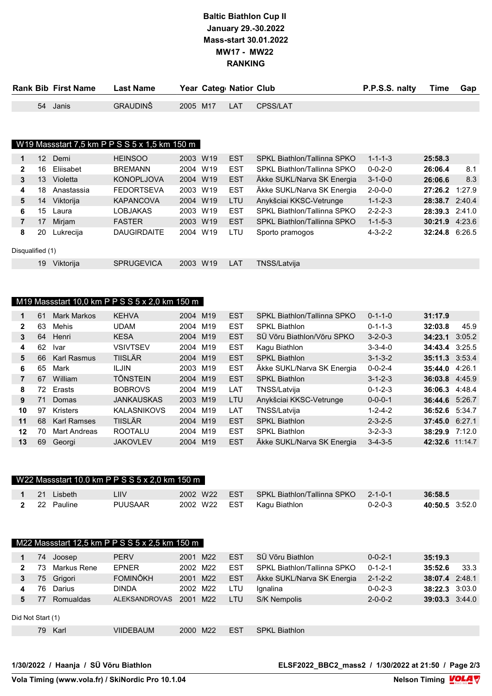## Baltic Biathlon Cup II January 29.-30.2022 Mass-start 30.01.2022 MW17 - MW22 RANKING

|     | <b>Rank Bib First Name</b> | <b>Last Name</b>                              |          | Year Categ Nation Club |            |                             | P.P.S.S. nalty  | Time    | Gap |
|-----|----------------------------|-----------------------------------------------|----------|------------------------|------------|-----------------------------|-----------------|---------|-----|
|     | 54 Janis                   | <b>GRAUDINŠ</b>                               | 2005 M17 |                        | <b>LAT</b> | CPSS/LAT                    |                 |         |     |
|     |                            |                                               |          |                        |            |                             |                 |         |     |
|     |                            |                                               |          |                        |            |                             |                 |         |     |
|     |                            |                                               |          |                        |            |                             |                 |         |     |
|     |                            | W19 Massstart 7,5 km P P S S 5 x 1,5 km 150 m |          |                        |            |                             |                 |         |     |
| 12  | Demi                       | <b>HEINSOO</b>                                | 2003 W19 |                        | <b>EST</b> | SPKL Biathlon/Tallinna SPKO | $1 - 1 - 1 - 3$ | 25:58.3 |     |
| 16. | Eliisabet                  | <b>BREMANN</b>                                |          | 2004 W19               | EST        | SPKL Biathlon/Tallinna SPKO | $0 - 0 - 2 - 0$ | 26:06.4 | 8.1 |

| 2              | 16               | Eliisabet  | <b>BREMANN</b>     | 2004 | W19             | <b>EST</b> | SPKL Biathlon/Tallinna SPKO | $0 - 0 - 2 - 0$ | 26:06.4          | 8.1 |
|----------------|------------------|------------|--------------------|------|-----------------|------------|-----------------------------|-----------------|------------------|-----|
| 3              | 13               | Violetta   | <b>KONOPLJOVA</b>  | 2004 | W <sub>19</sub> | <b>EST</b> | Äkke SUKL/Narva SK Energia  | $3 - 1 - 0 - 0$ | 26:06.6          | 8.3 |
| 4              | 18               | Anastassia | <b>FEDORTSEVA</b>  | 2003 | W <sub>19</sub> | <b>EST</b> | Äkke SUKL/Narva SK Energia  | $2 - 0 - 0 - 0$ | 27:26.2 1:27.9   |     |
| 5              | 14               | Viktorija  | <b>KAPANCOVA</b>   | 2004 | W <sub>19</sub> | LTU        | Anykšciai KKSC-Vetrunge     | $1 - 1 - 2 - 3$ | 28:38.7 2:40.4   |     |
| 6              | 15               | Laura      | LOBJAKAS           | 2003 | W19             | <b>EST</b> | SPKL Biathlon/Tallinna SPKO | $2 - 2 - 2 - 3$ | 28:39.3 2:41.0   |     |
| $\overline{7}$ | 17               | Mirjam     | <b>FASTER</b>      | 2003 | W <sub>19</sub> | <b>EST</b> | SPKL Biathlon/Tallinna SPKO | $1 - 1 - 5 - 3$ | $30:21.9$ 4:23.6 |     |
| 8              | 20               | Lukrecija  | <b>DAUGIRDAITE</b> | 2004 | W <sub>19</sub> | LTU        | Sporto pramogos             | $4 - 3 - 2 - 2$ | 32:24.8 6:26.5   |     |
|                | Disqualified (1) |            |                    |      |                 |            |                             |                 |                  |     |
|                | 19               | Viktorija  | <b>SPRUGEVICA</b>  | 2003 | W <sub>19</sub> | LAT        | TNSS/Latviia                |                 |                  |     |

#### M19 Massstart 10,0 km P P S S 5 x 2,0 km 150 m

| 1              | 61  | <b>Mark Markos</b> | <b>KEHVA</b>       | 2004 M19 |                 | <b>EST</b> | SPKL Biathlon/Tallinna SPKO | $0 - 1 - 1 - 0$ | 31:17.9         |        |
|----------------|-----|--------------------|--------------------|----------|-----------------|------------|-----------------------------|-----------------|-----------------|--------|
| $\mathbf{2}$   | 63  | Mehis              | <b>UDAM</b>        | 2004 M19 |                 | <b>EST</b> | <b>SPKL Biathlon</b>        | $0 - 1 - 1 - 3$ | 32:03.8         | 45.9   |
| 3              | 64  | Henri              | <b>KESA</b>        | 2004 M19 |                 | <b>EST</b> | SÜ Võru Biathlon/Võru SPKO  | $3 - 2 - 0 - 3$ | 34:23.1         | 3:05.2 |
| 4              | 62  | <b>Ivar</b>        | <b>VSIVTSEV</b>    | 2004     | M19             | <b>EST</b> | Kagu Biathlon               | $3 - 3 - 4 - 0$ | 34:43.4         | 3:25.5 |
| 5              | 66  | <b>Karl Rasmus</b> | <b>TIISLÄR</b>     | 2004 M19 |                 | <b>EST</b> | <b>SPKL Biathlon</b>        | $3 - 1 - 3 - 2$ | 35:11.3 3:53.4  |        |
| 6              | 65  | Mark               | <b>ILJIN</b>       | 2003 M19 |                 | <b>EST</b> | Äkke SUKL/Narva SK Energia  | $0 - 0 - 2 - 4$ | 35:44.0         | 4:26.1 |
| $\overline{7}$ | 67  | William            | <b>TÖNSTEIN</b>    | 2004 M19 |                 | <b>EST</b> | <b>SPKL Biathlon</b>        | $3 - 1 - 2 - 3$ | 36:03.8 4:45.9  |        |
| 8              | 72. | Erasts             | <b>BOBROVS</b>     | 2004 M19 |                 | LAT        | TNSS/Latvija                | $0 - 1 - 2 - 3$ | 36:06.3 4:48.4  |        |
| 9              | 71  | Domas              | <b>JANKAUSKAS</b>  | 2003 M19 |                 | LTU        | Anykšciai KKSC-Vetrunge     | $0 - 0 - 0 - 1$ | 36:44.6 5:26.7  |        |
| 10             | 97  | <b>Kristers</b>    | <b>KALASNIKOVS</b> | 2004     | M19             | LAT        | <b>TNSS/Latvija</b>         | $1 - 2 - 4 - 2$ | 36:52.6 5:34.7  |        |
| 11             | 68  | <b>Karl Ramses</b> | <b>TIISLÄR</b>     | 2004 M19 |                 | <b>EST</b> | <b>SPKL Biathlon</b>        | $2 - 3 - 2 - 5$ | 37:45.0 6:27.1  |        |
| 12             | 70  | Mart Andreas       | <b>ROOTALU</b>     | 2004     | M19             | <b>EST</b> | <b>SPKL Biathlon</b>        | $3 - 2 - 3 - 3$ | 38:29.9 7:12.0  |        |
| 13             | 69  | Georgi             | <b>JAKOVLEV</b>    | 2004     | M <sub>19</sub> | <b>EST</b> | Äkke SUKL/Narva SK Energia  | $3 - 4 - 3 - 5$ | 42:32.6 11:14.7 |        |

|  |                     | W22 Massstart 10.0 km P P S S 5 x 2,0 km 150 m |              |                                                  |                 |                |
|--|---------------------|------------------------------------------------|--------------|--------------------------------------------------|-----------------|----------------|
|  | <b>1</b> 21 Lisbeth | I IIV                                          |              | 2002 W22 EST SPKL Biathlon/Tallinna SPKO 2-1-0-1 |                 | 36:58.5        |
|  | 2 22 Pauline        | PUUSAAR                                        | 2002 W22 EST | Kagu Biathlon                                    | $0 - 2 - 0 - 3$ | 40:50.5 3:52.0 |

|                   | M22 Massstart 12,5 km P P S S 5 x 2,5 km 150 m |             |                      |             |                 |            |                             |                 |                    |      |  |  |
|-------------------|------------------------------------------------|-------------|----------------------|-------------|-----------------|------------|-----------------------------|-----------------|--------------------|------|--|--|
|                   | 74                                             | Joosep      | <b>PERV</b>          | 2001 M22    |                 | <b>EST</b> | SÜ Võru Biathlon            | $0 - 0 - 2 - 1$ | 35:19.3            |      |  |  |
| 2                 | 73                                             | Markus Rene | <b>EPNER</b>         | 2002 M22    |                 | <b>EST</b> | SPKL Biathlon/Tallinna SPKO | $0 - 1 - 2 - 1$ | 35:52.6            | 33.3 |  |  |
| 3                 | 75                                             | Grigori     | <b>FOMINÕKH</b>      | 2001 M22    |                 | <b>EST</b> | Äkke SUKL/Narva SK Energia  | $2 - 1 - 2 - 2$ | 38:07.4 2:48.1     |      |  |  |
| 4                 | 76                                             | Darius      | <b>DINDA</b>         | 2002        | M22             | LTU        | Ignalina                    | $0 - 0 - 2 - 3$ | $38:22.3$ $3:03.0$ |      |  |  |
| 5.                |                                                | Romualdas   | <b>ALEKSANDROVAS</b> | 2001        | M22             | LTU        | S/K Nempolis                | $2 - 0 - 0 - 2$ | $39:03.3$ $3:44.0$ |      |  |  |
| Did Not Start (1) |                                                |             |                      |             |                 |            |                             |                 |                    |      |  |  |
|                   | 79                                             | Karl        | <b>VIIDEBAUM</b>     | <b>2000</b> | M <sub>22</sub> | <b>EST</b> | <b>SPKL Biathlon</b>        |                 |                    |      |  |  |

1/30/2022 / Haanja / SÜ Võru Biathlon ELSF2022\_BBC2\_mass2 / 1/30/2022 at 21:50 / Page 2/3